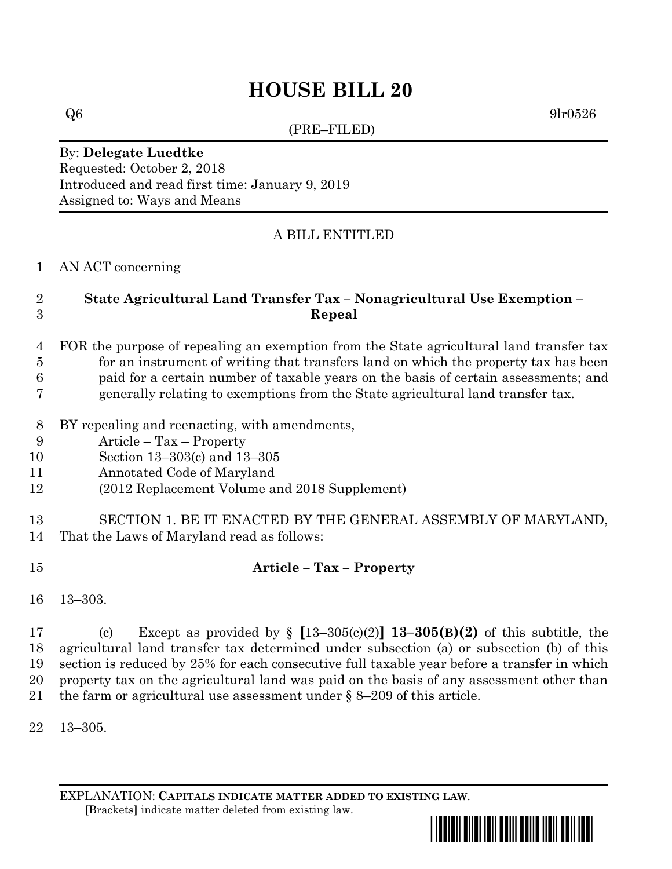# **HOUSE BILL 20**

(PRE–FILED)

 $Q6$  9lr0526

#### By: **Delegate Luedtke** Requested: October 2, 2018 Introduced and read first time: January 9, 2019

Assigned to: Ways and Means

### A BILL ENTITLED

#### AN ACT concerning

## **State Agricultural Land Transfer Tax – Nonagricultural Use Exemption – Repeal**

## FOR the purpose of repealing an exemption from the State agricultural land transfer tax for an instrument of writing that transfers land on which the property tax has been paid for a certain number of taxable years on the basis of certain assessments; and

- generally relating to exemptions from the State agricultural land transfer tax.
- BY repealing and reenacting, with amendments,
- Article Tax Property
- Section 13–303(c) and 13–305
- Annotated Code of Maryland
- (2012 Replacement Volume and 2018 Supplement)

### SECTION 1. BE IT ENACTED BY THE GENERAL ASSEMBLY OF MARYLAND, That the Laws of Maryland read as follows:

## **Article – Tax – Property**

13–303.

 (c) Except as provided by § **[**13–305(c)(2)**] 13–305(B)(2)** of this subtitle, the agricultural land transfer tax determined under subsection (a) or subsection (b) of this section is reduced by 25% for each consecutive full taxable year before a transfer in which property tax on the agricultural land was paid on the basis of any assessment other than the farm or agricultural use assessment under § 8–209 of this article.

13–305.

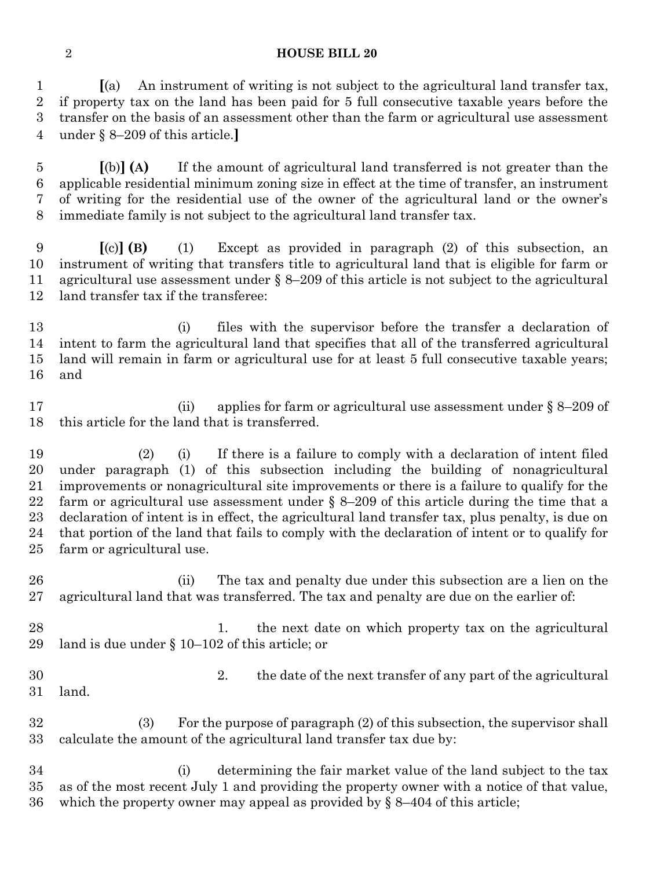#### **HOUSE BILL 20**

 **[**(a) An instrument of writing is not subject to the agricultural land transfer tax, if property tax on the land has been paid for 5 full consecutive taxable years before the transfer on the basis of an assessment other than the farm or agricultural use assessment under § 8–209 of this article.**]**

 **[**(b)**] (A)** If the amount of agricultural land transferred is not greater than the applicable residential minimum zoning size in effect at the time of transfer, an instrument of writing for the residential use of the owner of the agricultural land or the owner's immediate family is not subject to the agricultural land transfer tax.

 **[**(c)**] (B)** (1) Except as provided in paragraph (2) of this subsection, an instrument of writing that transfers title to agricultural land that is eligible for farm or agricultural use assessment under § 8–209 of this article is not subject to the agricultural land transfer tax if the transferee:

 (i) files with the supervisor before the transfer a declaration of intent to farm the agricultural land that specifies that all of the transferred agricultural land will remain in farm or agricultural use for at least 5 full consecutive taxable years; and

17 (ii) applies for farm or agricultural use assessment under § 8–209 of this article for the land that is transferred.

 (2) (i) If there is a failure to comply with a declaration of intent filed under paragraph (1) of this subsection including the building of nonagricultural improvements or nonagricultural site improvements or there is a failure to qualify for the farm or agricultural use assessment under § 8–209 of this article during the time that a declaration of intent is in effect, the agricultural land transfer tax, plus penalty, is due on that portion of the land that fails to comply with the declaration of intent or to qualify for farm or agricultural use.

 (ii) The tax and penalty due under this subsection are a lien on the agricultural land that was transferred. The tax and penalty are due on the earlier of:

28 1. the next date on which property tax on the agricultural land is due under § 10–102 of this article; or

- 2. the date of the next transfer of any part of the agricultural land.
- (3) For the purpose of paragraph (2) of this subsection, the supervisor shall calculate the amount of the agricultural land transfer tax due by:

 (i) determining the fair market value of the land subject to the tax as of the most recent July 1 and providing the property owner with a notice of that value, which the property owner may appeal as provided by § 8–404 of this article;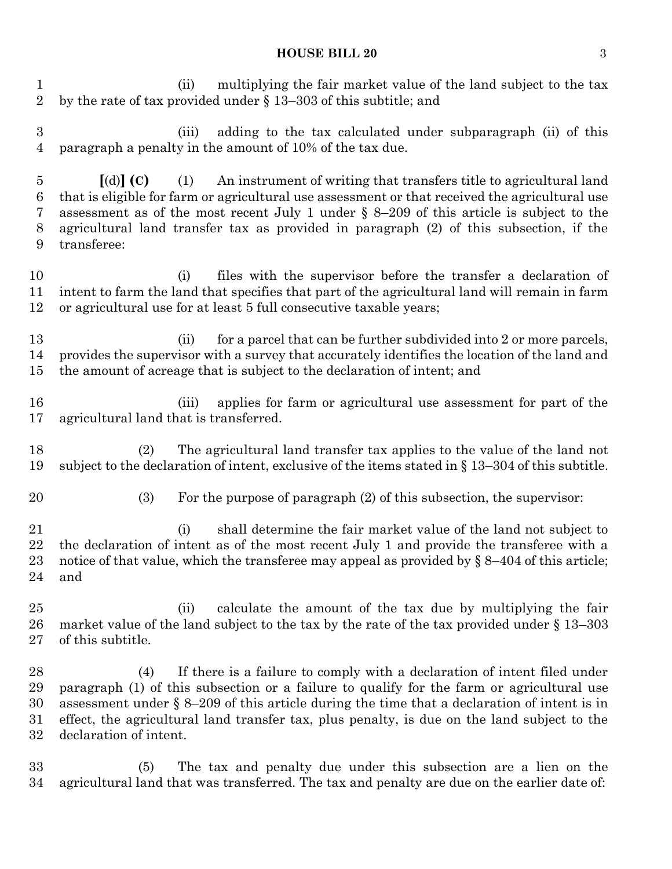#### **HOUSE BILL 20** 3

 (ii) multiplying the fair market value of the land subject to the tax by the rate of tax provided under § 13–303 of this subtitle; and

 (iii) adding to the tax calculated under subparagraph (ii) of this paragraph a penalty in the amount of 10% of the tax due.

 **[**(d)**] (C)** (1) An instrument of writing that transfers title to agricultural land that is eligible for farm or agricultural use assessment or that received the agricultural use assessment as of the most recent July 1 under § 8–209 of this article is subject to the agricultural land transfer tax as provided in paragraph (2) of this subsection, if the transferee:

 (i) files with the supervisor before the transfer a declaration of intent to farm the land that specifies that part of the agricultural land will remain in farm or agricultural use for at least 5 full consecutive taxable years;

13 (ii) for a parcel that can be further subdivided into 2 or more parcels, provides the supervisor with a survey that accurately identifies the location of the land and the amount of acreage that is subject to the declaration of intent; and

 (iii) applies for farm or agricultural use assessment for part of the agricultural land that is transferred.

 (2) The agricultural land transfer tax applies to the value of the land not subject to the declaration of intent, exclusive of the items stated in § 13–304 of this subtitle.

(3) For the purpose of paragraph (2) of this subsection, the supervisor:

 (i) shall determine the fair market value of the land not subject to the declaration of intent as of the most recent July 1 and provide the transferee with a 23 notice of that value, which the transferee may appeal as provided by  $\S$  8–404 of this article; and

25 (ii) calculate the amount of the tax due by multiplying the fair market value of the land subject to the tax by the rate of the tax provided under § 13–303 of this subtitle.

 (4) If there is a failure to comply with a declaration of intent filed under paragraph (1) of this subsection or a failure to qualify for the farm or agricultural use assessment under § 8–209 of this article during the time that a declaration of intent is in effect, the agricultural land transfer tax, plus penalty, is due on the land subject to the declaration of intent.

 (5) The tax and penalty due under this subsection are a lien on the agricultural land that was transferred. The tax and penalty are due on the earlier date of: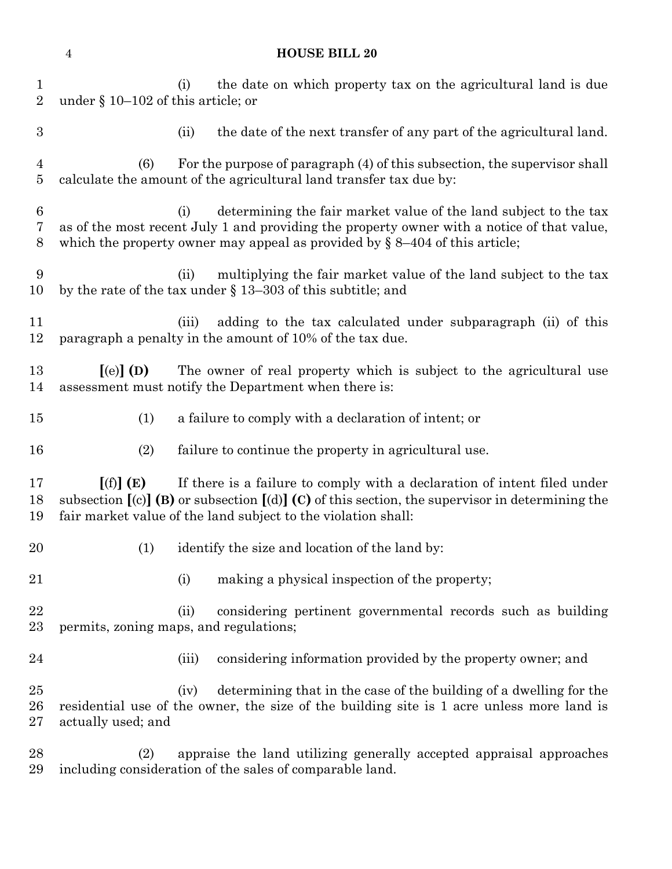| $\mathbf{1}$<br>$\overline{2}$   | the date on which property tax on the agricultural land is due<br>(i)<br>under § 10–102 of this article; or                                                                                                                                                  |
|----------------------------------|--------------------------------------------------------------------------------------------------------------------------------------------------------------------------------------------------------------------------------------------------------------|
| $\boldsymbol{3}$                 | the date of the next transfer of any part of the agricultural land.<br>(ii)                                                                                                                                                                                  |
| $\overline{4}$<br>$\overline{5}$ | For the purpose of paragraph (4) of this subsection, the supervisor shall<br>(6)<br>calculate the amount of the agricultural land transfer tax due by:                                                                                                       |
| $\,6\,$<br>7<br>8                | determining the fair market value of the land subject to the tax<br>(i)<br>as of the most recent July 1 and providing the property owner with a notice of that value,<br>which the property owner may appeal as provided by $\S$ 8-404 of this article;      |
| 9<br>10                          | multiplying the fair market value of the land subject to the tax<br>(ii)<br>by the rate of the tax under $\S$ 13–303 of this subtitle; and                                                                                                                   |
| 11<br>12                         | adding to the tax calculated under subparagraph (ii) of this<br>(iii)<br>paragraph a penalty in the amount of 10% of the tax due.                                                                                                                            |
| 13<br>14                         | $\left[$ (e) $\right]$ (D)<br>The owner of real property which is subject to the agricultural use<br>assessment must notify the Department when there is:                                                                                                    |
| 15                               | a failure to comply with a declaration of intent; or<br>(1)                                                                                                                                                                                                  |
| 16                               | (2)<br>failure to continue the property in agricultural use.                                                                                                                                                                                                 |
| 17<br>18<br>19                   | [(f)](E)<br>If there is a failure to comply with a declaration of intent filed under<br>subsection $[(c)]$ (B) or subsection $[(d)]$ (C) of this section, the supervisor in determining the<br>fair market value of the land subject to the violation shall: |
| 20                               | identify the size and location of the land by:<br>(1)                                                                                                                                                                                                        |
| 21                               | making a physical inspection of the property;<br>(i)                                                                                                                                                                                                         |
| 22<br>23                         | (ii)<br>considering pertinent governmental records such as building<br>permits, zoning maps, and regulations;                                                                                                                                                |
| 24                               | considering information provided by the property owner; and<br>(iii)                                                                                                                                                                                         |
| 25<br>26<br>27                   | determining that in the case of the building of a dwelling for the<br>(iv)<br>residential use of the owner, the size of the building site is 1 acre unless more land is<br>actually used; and                                                                |
| 28<br>29                         | appraise the land utilizing generally accepted appraisal approaches<br>(2)<br>including consideration of the sales of comparable land.                                                                                                                       |

**HOUSE BILL 20**